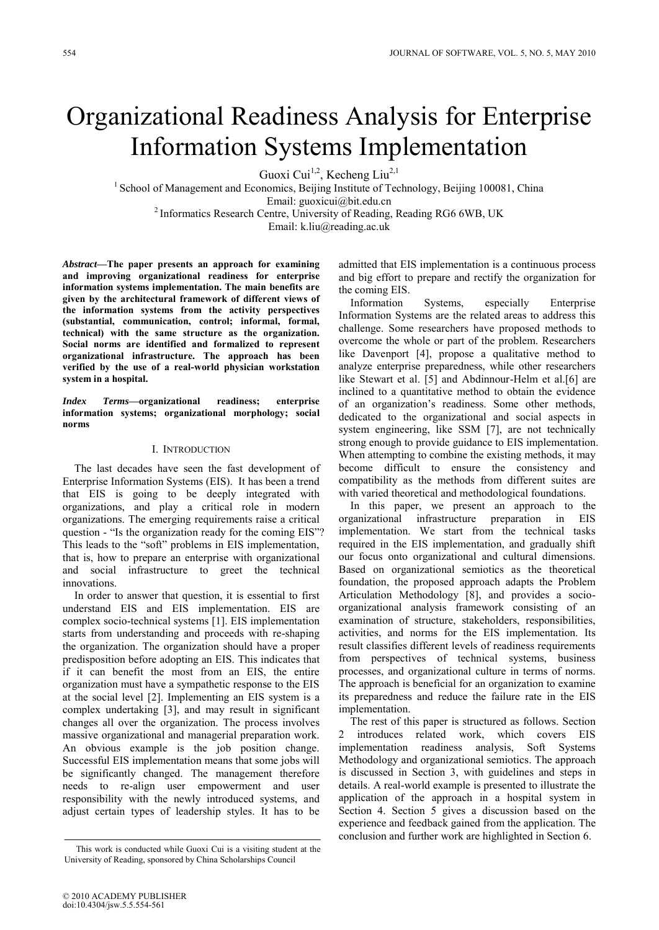# Organizational Readiness Analysis for Enterprise Information Systems Implementation

Guoxi Cui<sup>1,2</sup>, Kecheng Liu<sup>2,1</sup>

<sup>1</sup> School of Management and Economics, Beijing Institute of Technology, Beijing 100081, China Email: guoxicui@bit.edu.cn

<sup>2</sup> Informatics Research Centre, University of Reading, Reading RG6 6WB, UK

Email: k.liu@reading.ac.uk

*Abstract***—The paper presents an approach for examining and improving organizational readiness for enterprise information systems implementation. The main benefits are given by the architectural framework of different views of the information systems from the activity perspectives (substantial, communication, control; informal, formal, technical) with the same structure as the organization. Social norms are identified and formalized to represent organizational infrastructure. The approach has been verified by the use of a real-world physician workstation system in a hospital.**

*Index Terms***—organizational readiness; enterprise information systems; organizational morphology; social norms**

## I. INTRODUCTION

The last decades have seen the fast development of Enterprise Information Systems (EIS). It has been a trend that EIS is going to be deeply integrated with organizations, and play a critical role in modern organizations. The emerging requirements raise a critical question - "Is the organization ready for the coming EIS"? This leads to the "soft" problems in EIS implementation, that is, how to prepare an enterprise with organizational and social infrastructure to greet the technical innovations.

In order to answer that question, it is essential to first understand EIS and EIS implementation. EIS are complex socio-technical systems [1]. EIS implementation starts from understanding and proceeds with re-shaping the organization. The organization should have a proper predisposition before adopting an EIS. This indicates that if it can benefit the most from an EIS, the entire organization must have a sympathetic response to the EIS at the social level [2]. Implementing an EIS system is a complex undertaking [3], and may result in significant changes all over the organization. The process involves massive organizational and managerial preparation work. An obvious example is the job position change. Successful EIS implementation means that some jobs will be significantly changed. The management therefore needs to re-align user empowerment and user responsibility with the newly introduced systems, and adjust certain types of leadership styles. It has to be

admitted that EIS implementation is a continuous process and big effort to prepare and rectify the organization for the coming EIS.

Information Systems, especially Enterprise Information Systems are the related areas to address this challenge. Some researchers have proposed methods to overcome the whole or part of the problem. Researchers like Davenport [4], propose a qualitative method to analyze enterprise preparedness, while other researchers like Stewart et al. [5] and Abdinnour-Helm et al.[6] are inclined to a quantitative method to obtain the evidence of an organization's readiness. Some other methods, dedicated to the organizational and social aspects in system engineering, like SSM [7], are not technically strong enough to provide guidance to EIS implementation. When attempting to combine the existing methods, it may become difficult to ensure the consistency and compatibility as the methods from different suites are with varied theoretical and methodological foundations.

In this paper, we present an approach to the organizational infrastructure preparation in EIS implementation. We start from the technical tasks required in the EIS implementation, and gradually shift our focus onto organizational and cultural dimensions. Based on organizational semiotics as the theoretical foundation, the proposed approach adapts the Problem Articulation Methodology [8], and provides a socioorganizational analysis framework consisting of an examination of structure, stakeholders, responsibilities, activities, and norms for the EIS implementation. Its result classifies different levels of readiness requirements from perspectives of technical systems, business processes, and organizational culture in terms of norms. The approach is beneficial for an organization to examine its preparedness and reduce the failure rate in the EIS implementation.

The rest of this paper is structured as follows. Section 2 introduces related work, which covers EIS implementation readiness analysis, Soft Systems Methodology and organizational semiotics. The approach is discussed in Section 3, with guidelines and steps in details. A real-world example is presented to illustrate the application of the approach in a hospital system in Section 4. Section 5 gives a discussion based on the experience and feedback gained from the application. The conclusion and further work are highlighted in Section 6.

This work is conducted while Guoxi Cui is a visiting student at the University of Reading, sponsored by China Scholarships Council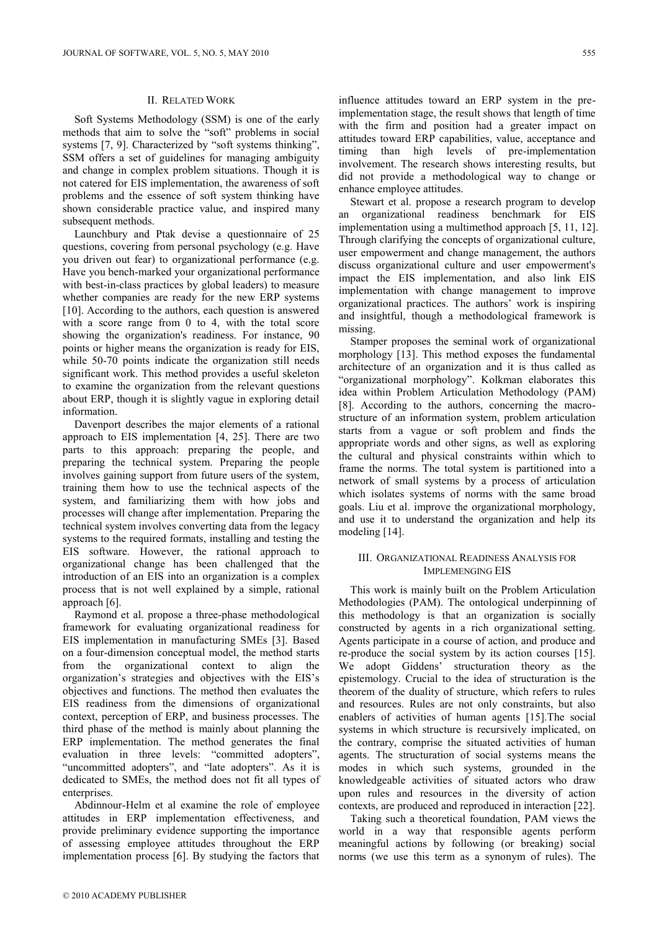## II. RELATED WORK

Soft Systems Methodology (SSM) is one of the early methods that aim to solve the "soft" problems in social systems [7, 9]. Characterized by "soft systems thinking", SSM offers a set of guidelines for managing ambiguity and change in complex problem situations. Though it is not catered for EIS implementation, the awareness of soft problems and the essence of soft system thinking have shown considerable practice value, and inspired many subsequent methods.

Launchbury and Ptak devise a questionnaire of 25 questions, covering from personal psychology (e.g. Have you driven out fear) to organizational performance (e.g. Have you bench-marked your organizational performance with best-in-class practices by global leaders) to measure whether companies are ready for the new ERP systems [10]. According to the authors, each question is answered with a score range from 0 to 4, with the total score showing the organization's readiness. For instance, 90 points or higher means the organization is ready for EIS, while 50-70 points indicate the organization still needs significant work. This method provides a useful skeleton to examine the organization from the relevant questions about ERP, though it is slightly vague in exploring detail information.

Davenport describes the major elements of a rational approach to EIS implementation [4, 25]. There are two parts to this approach: preparing the people, and preparing the technical system. Preparing the people involves gaining support from future users of the system, training them how to use the technical aspects of the system, and familiarizing them with how jobs and processes will change after implementation. Preparing the technical system involves converting data from the legacy systems to the required formats, installing and testing the EIS software. However, the rational approach to organizational change has been challenged that the introduction of an EIS into an organization is a complex process that is not well explained by a simple, rational approach [6].

Raymond et al. propose a three-phase methodological framework for evaluating organizational readiness for EIS implementation in manufacturing SMEs [3]. Based on a four-dimension conceptual model, the method starts from the organizational context to align the organization's strategies and objectives with the EIS's objectives and functions. The method then evaluates the EIS readiness from the dimensions of organizational context, perception of ERP, and business processes. The third phase of the method is mainly about planning the ERP implementation. The method generates the final evaluation in three levels: "committed adopters", "uncommitted adopters", and "late adopters". As it is dedicated to SMEs, the method does not fit all types of enterprises.

Abdinnour-Helm et al examine the role of employee attitudes in ERP implementation effectiveness, and provide preliminary evidence supporting the importance of assessing employee attitudes throughout the ERP implementation process [6]. By studying the factors that influence attitudes toward an ERP system in the preimplementation stage, the result shows that length of time with the firm and position had a greater impact on attitudes toward ERP capabilities, value, acceptance and timing than high levels of pre-implementation involvement. The research shows interesting results, but did not provide a methodological way to change or enhance employee attitudes.

Stewart et al. propose a research program to develop an organizational readiness benchmark for EIS implementation using a multimethod approach [5, 11, 12]. Through clarifying the concepts of organizational culture, user empowerment and change management, the authors discuss organizational culture and user empowerment's impact the EIS implementation, and also link EIS implementation with change management to improve organizational practices. The authors' work is inspiring and insightful, though a methodological framework is missing.

Stamper proposes the seminal work of organizational morphology [13]. This method exposes the fundamental architecture of an organization and it is thus called as "organizational morphology". Kolkman elaborates this idea within Problem Articulation Methodology (PAM) [8]. According to the authors, concerning the macrostructure of an information system, problem articulation starts from a vague or soft problem and finds the appropriate words and other signs, as well as exploring the cultural and physical constraints within which to frame the norms. The total system is partitioned into a network of small systems by a process of articulation which isolates systems of norms with the same broad goals. Liu et al. improve the organizational morphology, and use it to understand the organization and help its modeling [14].

## III. ORGANIZATIONAL READINESS ANALYSIS FOR IMPLEMENGING EIS

This work is mainly built on the Problem Articulation Methodologies (PAM). The ontological underpinning of this methodology is that an organization is socially constructed by agents in a rich organizational setting. Agents participate in a course of action, and produce and re-produce the social system by its action courses [15]. We adopt Giddens' structuration theory as the epistemology. Crucial to the idea of structuration is the theorem of the duality of structure, which refers to rules and resources. Rules are not only constraints, but also enablers of activities of human agents [15].The social systems in which structure is recursively implicated, on the contrary, comprise the situated activities of human agents. The structuration of social systems means the modes in which such systems, grounded in the knowledgeable activities of situated actors who draw upon rules and resources in the diversity of action contexts, are produced and reproduced in interaction [22].

Taking such a theoretical foundation, PAM views the world in a way that responsible agents perform meaningful actions by following (or breaking) social norms (we use this term as a synonym of rules). The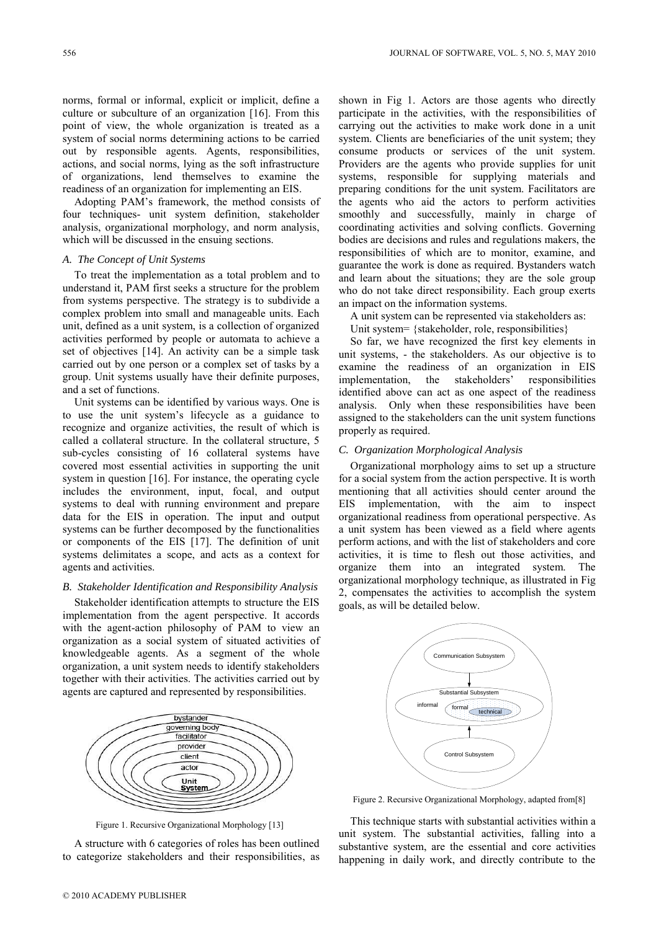norms, formal or informal, explicit or implicit, define a culture or subculture of an organization [16]. From this point of view, the whole organization is treated as a system of social norms determining actions to be carried out by responsible agents. Agents, responsibilities, actions, and social norms, lying as the soft infrastructure of organizations, lend themselves to examine the readiness of an organization for implementing an EIS.

Adopting PAM's framework, the method consists of four techniques- unit system definition, stakeholder analysis, organizational morphology, and norm analysis, which will be discussed in the ensuing sections.

## *A. The Concept of Unit Systems*

To treat the implementation as a total problem and to understand it, PAM first seeks a structure for the problem from systems perspective. The strategy is to subdivide a complex problem into small and manageable units. Each unit, defined as a unit system, is a collection of organized activities performed by people or automata to achieve a set of objectives [14]. An activity can be a simple task carried out by one person or a complex set of tasks by a group. Unit systems usually have their definite purposes, and a set of functions.

Unit systems can be identified by various ways. One is to use the unit system's lifecycle as a guidance to recognize and organize activities, the result of which is called a collateral structure. In the collateral structure, 5 sub-cycles consisting of 16 collateral systems have covered most essential activities in supporting the unit system in question [16]. For instance, the operating cycle includes the environment, input, focal, and output systems to deal with running environment and prepare data for the EIS in operation. The input and output systems can be further decomposed by the functionalities or components of the EIS [17]. The definition of unit systems delimitates a scope, and acts as a context for agents and activities.

## *B. Stakeholder Identification and Responsibility Analysis*

Stakeholder identification attempts to structure the EIS implementation from the agent perspective. It accords with the agent-action philosophy of PAM to view an organization as a social system of situated activities of knowledgeable agents. As a segment of the whole organization, a unit system needs to identify stakeholders together with their activities. The activities carried out by agents are captured and represented by responsibilities.



Figure 1. Recursive Organizational Morphology [13]

A structure with 6 categories of roles has been outlined to categorize stakeholders and their responsibilities, as

shown in Fig 1. Actors are those agents who directly participate in the activities, with the responsibilities of carrying out the activities to make work done in a unit system. Clients are beneficiaries of the unit system; they consume products or services of the unit system. Providers are the agents who provide supplies for unit systems, responsible for supplying materials and preparing conditions for the unit system. Facilitators are the agents who aid the actors to perform activities smoothly and successfully, mainly in charge of coordinating activities and solving conflicts. Governing bodies are decisions and rules and regulations makers, the responsibilities of which are to monitor, examine, and guarantee the work is done as required. Bystanders watch and learn about the situations; they are the sole group who do not take direct responsibility. Each group exerts an impact on the information systems.

A unit system can be represented via stakeholders as:

Unit system= {stakeholder, role, responsibilities}

So far, we have recognized the first key elements in unit systems, - the stakeholders. As our objective is to examine the readiness of an organization in EIS implementation, the stakeholders' responsibilities identified above can act as one aspect of the readiness analysis. Only when these responsibilities have been assigned to the stakeholders can the unit system functions properly as required.

## *C. Organization Morphological Analysis*

Organizational morphology aims to set up a structure for a social system from the action perspective. It is worth mentioning that all activities should center around the EIS implementation, with the aim to inspect organizational readiness from operational perspective. As a unit system has been viewed as a field where agents perform actions, and with the list of stakeholders and core activities, it is time to flesh out those activities, and organize them into an integrated system. The organizational morphology technique, as illustrated in Fig 2, compensates the activities to accomplish the system goals, as will be detailed below.



Figure 2. Recursive Organizational Morphology, adapted from[8]

This technique starts with substantial activities within a unit system. The substantial activities, falling into a substantive system, are the essential and core activities happening in daily work, and directly contribute to the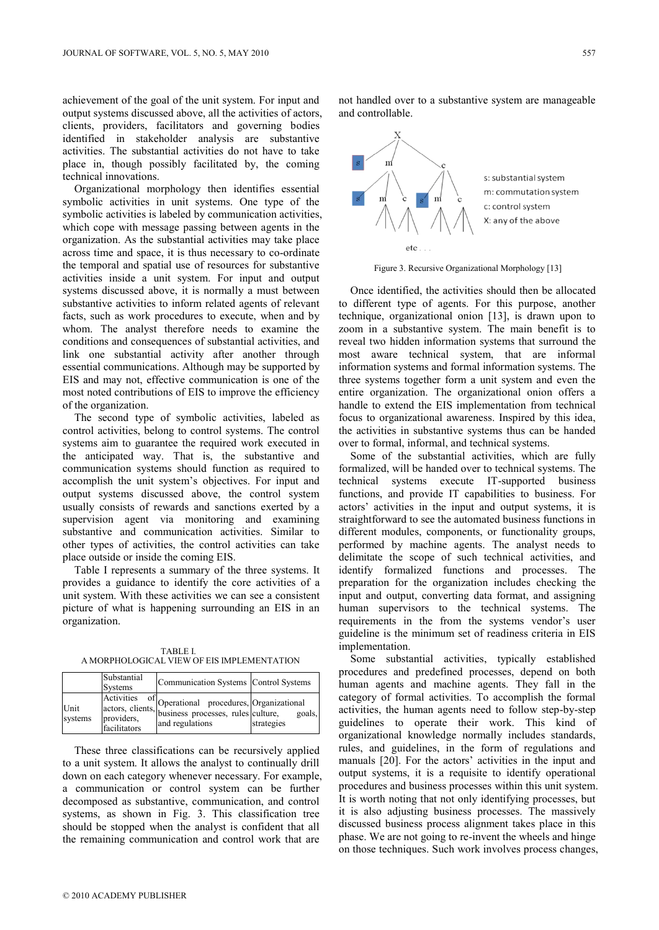achievement of the goal of the unit system. For input and output systems discussed above, all the activities of actors, clients, providers, facilitators and governing bodies identified in stakeholder analysis are substantive activities. The substantial activities do not have to take place in, though possibly facilitated by, the coming technical innovations.

Organizational morphology then identifies essential symbolic activities in unit systems. One type of the symbolic activities is labeled by communication activities, which cope with message passing between agents in the organization. As the substantial activities may take place across time and space, it is thus necessary to co-ordinate the temporal and spatial use of resources for substantive activities inside a unit system. For input and output systems discussed above, it is normally a must between substantive activities to inform related agents of relevant facts, such as work procedures to execute, when and by whom. The analyst therefore needs to examine the conditions and consequences of substantial activities, and link one substantial activity after another through essential communications. Although may be supported by EIS and may not, effective communication is one of the most noted contributions of EIS to improve the efficiency of the organization.

The second type of symbolic activities, labeled as control activities, belong to control systems. The control systems aim to guarantee the required work executed in the anticipated way. That is, the substantive and communication systems should function as required to accomplish the unit system's objectives. For input and output systems discussed above, the control system usually consists of rewards and sanctions exerted by a supervision agent via monitoring and examining substantive and communication activities. Similar to other types of activities, the control activities can take place outside or inside the coming EIS.

Table I represents a summary of the three systems. It provides a guidance to identify the core activities of a unit system. With these activities we can see a consistent picture of what is happening surrounding an EIS in an organization.

TABLE I. A MORPHOLOGICAL VIEW OF EIS IMPLEMENTATION

|                 | Substantial<br><b>Systems</b>                  | Communication Systems   Control Systems                                                                                           |                      |
|-----------------|------------------------------------------------|-----------------------------------------------------------------------------------------------------------------------------------|----------------------|
| Unit<br>systems | Activities<br>of<br>providers,<br>facilitators | Activities of Operational procedures, Organizational<br>actors, clients, business processes, rules culture, go<br>and regulations | goals.<br>strategies |

These three classifications can be recursively applied to a unit system. It allows the analyst to continually drill down on each category whenever necessary. For example, a communication or control system can be further decomposed as substantive, communication, and control systems, as shown in Fig. 3. This classification tree should be stopped when the analyst is confident that all the remaining communication and control work that are

not handled over to a substantive system are manageable and controllable.



Figure 3. Recursive Organizational Morphology [13]

Once identified, the activities should then be allocated to different type of agents. For this purpose, another technique, organizational onion [13], is drawn upon to zoom in a substantive system. The main benefit is to reveal two hidden information systems that surround the most aware technical system, that are informal information systems and formal information systems. The three systems together form a unit system and even the entire organization. The organizational onion offers a handle to extend the EIS implementation from technical focus to organizational awareness. Inspired by this idea, the activities in substantive systems thus can be handed over to formal, informal, and technical systems.

Some of the substantial activities, which are fully formalized, will be handed over to technical systems. The technical systems execute IT-supported business functions, and provide IT capabilities to business. For actors' activities in the input and output systems, it is straightforward to see the automated business functions in different modules, components, or functionality groups, performed by machine agents. The analyst needs to delimitate the scope of such technical activities, and identify formalized functions and processes. The preparation for the organization includes checking the input and output, converting data format, and assigning human supervisors to the technical systems. The requirements in the from the systems vendor's user guideline is the minimum set of readiness criteria in EIS implementation.

Some substantial activities, typically established procedures and predefined processes, depend on both human agents and machine agents. They fall in the category of formal activities. To accomplish the formal activities, the human agents need to follow step-by-step guidelines to operate their work. This kind of organizational knowledge normally includes standards, rules, and guidelines, in the form of regulations and manuals [20]. For the actors' activities in the input and output systems, it is a requisite to identify operational procedures and business processes within this unit system. It is worth noting that not only identifying processes, but it is also adjusting business processes. The massively discussed business process alignment takes place in this phase. We are not going to re-invent the wheels and hinge on those techniques. Such work involves process changes,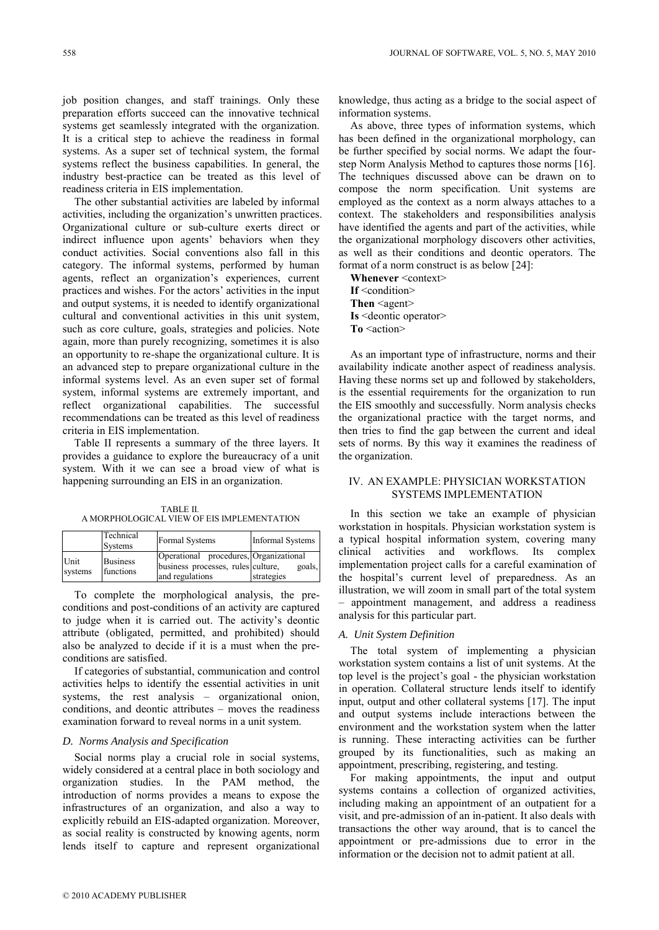job position changes, and staff trainings. Only these preparation efforts succeed can the innovative technical systems get seamlessly integrated with the organization. It is a critical step to achieve the readiness in formal systems. As a super set of technical system, the formal systems reflect the business capabilities. In general, the industry best-practice can be treated as this level of readiness criteria in EIS implementation.

The other substantial activities are labeled by informal activities, including the organization's unwritten practices. Organizational culture or sub-culture exerts direct or indirect influence upon agents' behaviors when they conduct activities. Social conventions also fall in this category. The informal systems, performed by human agents, reflect an organization's experiences, current practices and wishes. For the actors' activities in the input and output systems, it is needed to identify organizational cultural and conventional activities in this unit system, such as core culture, goals, strategies and policies. Note again, more than purely recognizing, sometimes it is also an opportunity to re-shape the organizational culture. It is an advanced step to prepare organizational culture in the informal systems level. As an even super set of formal system, informal systems are extremely important, and reflect organizational capabilities. The successful recommendations can be treated as this level of readiness criteria in EIS implementation.

Table II represents a summary of the three layers. It provides a guidance to explore the bureaucracy of a unit system. With it we can see a broad view of what is happening surrounding an EIS in an organization.

TABLE II. A MORPHOLOGICAL VIEW OF EIS IMPLEMENTATION

|                 | Technical<br>Systems         | Formal Systems                                                                                  | <b>Informal Systems</b> |
|-----------------|------------------------------|-------------------------------------------------------------------------------------------------|-------------------------|
| Unit<br>systems | <b>Business</b><br>functions | Operational procedures, Organizational<br>business processes, rules culture,<br>and regulations | goals.<br>strategies    |

To complete the morphological analysis, the preconditions and post-conditions of an activity are captured to judge when it is carried out. The activity's deontic attribute (obligated, permitted, and prohibited) should also be analyzed to decide if it is a must when the preconditions are satisfied.

If categories of substantial, communication and control activities helps to identify the essential activities in unit systems, the rest analysis – organizational onion, conditions, and deontic attributes – moves the readiness examination forward to reveal norms in a unit system.

## *D. Norms Analysis and Specification*

Social norms play a crucial role in social systems, widely considered at a central place in both sociology and organization studies. In the PAM method, the introduction of norms provides a means to expose the infrastructures of an organization, and also a way to explicitly rebuild an EIS-adapted organization. Moreover, as social reality is constructed by knowing agents, norm lends itself to capture and represent organizational knowledge, thus acting as a bridge to the social aspect of information systems.

As above, three types of information systems, which has been defined in the organizational morphology, can be further specified by social norms. We adapt the fourstep Norm Analysis Method to captures those norms [16]. The techniques discussed above can be drawn on to compose the norm specification. Unit systems are employed as the context as a norm always attaches to a context. The stakeholders and responsibilities analysis have identified the agents and part of the activities, while the organizational morphology discovers other activities, as well as their conditions and deontic operators. The format of a norm construct is as below [24]:

**Whenever** <context> **If** <condition> **Then** <agent> **Is** <deontic operator>

**To** <action>

As an important type of infrastructure, norms and their availability indicate another aspect of readiness analysis. Having these norms set up and followed by stakeholders, is the essential requirements for the organization to run the EIS smoothly and successfully. Norm analysis checks the organizational practice with the target norms, and then tries to find the gap between the current and ideal sets of norms. By this way it examines the readiness of the organization.

## IV. AN EXAMPLE: PHYSICIAN WORKSTATION SYSTEMS IMPLEMENTATION

In this section we take an example of physician workstation in hospitals. Physician workstation system is a typical hospital information system, covering many clinical activities and workflows. Its complex implementation project calls for a careful examination of the hospital's current level of preparedness. As an illustration, we will zoom in small part of the total system – appointment management, and address a readiness analysis for this particular part.

#### *A. Unit System Definition*

The total system of implementing a physician workstation system contains a list of unit systems. At the top level is the project's goal - the physician workstation in operation. Collateral structure lends itself to identify input, output and other collateral systems [17]. The input and output systems include interactions between the environment and the workstation system when the latter is running. These interacting activities can be further grouped by its functionalities, such as making an appointment, prescribing, registering, and testing.

For making appointments, the input and output systems contains a collection of organized activities, including making an appointment of an outpatient for a visit, and pre-admission of an in-patient. It also deals with transactions the other way around, that is to cancel the appointment or pre-admissions due to error in the information or the decision not to admit patient at all.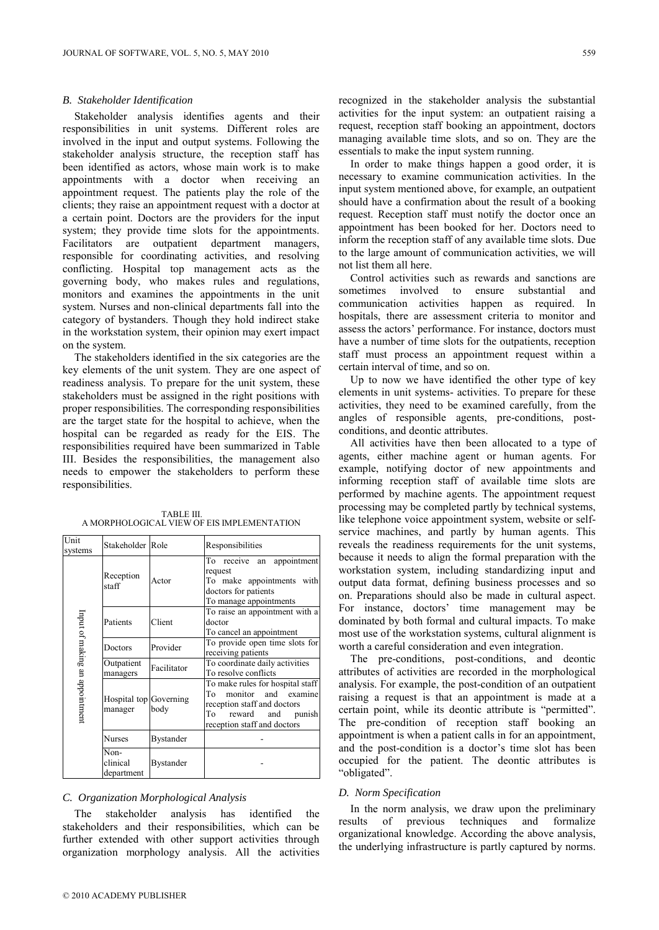#### *B. Stakeholder Identification*

Stakeholder analysis identifies agents and their responsibilities in unit systems. Different roles are involved in the input and output systems. Following the stakeholder analysis structure, the reception staff has been identified as actors, whose main work is to make appointments with a doctor when receiving an appointment request. The patients play the role of the clients; they raise an appointment request with a doctor at a certain point. Doctors are the providers for the input system; they provide time slots for the appointments. Facilitators are outpatient department managers, responsible for coordinating activities, and resolving conflicting. Hospital top management acts as the governing body, who makes rules and regulations, monitors and examines the appointments in the unit system. Nurses and non-clinical departments fall into the category of bystanders. Though they hold indirect stake in the workstation system, their opinion may exert impact on the system.

The stakeholders identified in the six categories are the key elements of the unit system. They are one aspect of readiness analysis. To prepare for the unit system, these stakeholders must be assigned in the right positions with proper responsibilities. The corresponding responsibilities are the target state for the hospital to achieve, when the hospital can be regarded as ready for the EIS. The responsibilities required have been summarized in Table III. Besides the responsibilities, the management also needs to empower the stakeholders to perform these responsibilities.

| Unit<br>systems                | Stakeholder Role                  |             | Responsibilities                                                                                                                                             |
|--------------------------------|-----------------------------------|-------------|--------------------------------------------------------------------------------------------------------------------------------------------------------------|
| Input of making an appointment | Reception<br>staff                | Actor       | receive an appointment<br>To<br>request<br>To make appointments<br>with<br>doctors for patients<br>To manage appointments                                    |
|                                | Patients                          | Client      | To raise an appointment with a<br>doctor<br>To cancel an appointment                                                                                         |
|                                | Doctors                           | Provider    | To provide open time slots for<br>receiving patients                                                                                                         |
|                                | Outpatient<br>managers            | Facilitator | To coordinate daily activities<br>To resolve conflicts                                                                                                       |
|                                | Hospital top Governing<br>manager | body        | To make rules for hospital staff<br>monitor and examine<br>To<br>reception staff and doctors<br>To<br>reward<br>and<br>punish<br>reception staff and doctors |
|                                | Nurses                            | Bystander   |                                                                                                                                                              |
|                                | Non-                              |             |                                                                                                                                                              |

TABLE III. A MORPHOLOGICAL VIEW OF EIS IMPLEMENTATION

#### *C. Organization Morphological Analysis*

**Bystander** 

The stakeholder analysis has identified the stakeholders and their responsibilities, which can be further extended with other support activities through organization morphology analysis. All the activities

clinical department recognized in the stakeholder analysis the substantial activities for the input system: an outpatient raising a request, reception staff booking an appointment, doctors managing available time slots, and so on. They are the essentials to make the input system running.

In order to make things happen a good order, it is necessary to examine communication activities. In the input system mentioned above, for example, an outpatient should have a confirmation about the result of a booking request. Reception staff must notify the doctor once an appointment has been booked for her. Doctors need to inform the reception staff of any available time slots. Due to the large amount of communication activities, we will not list them all here.

Control activities such as rewards and sanctions are sometimes involved to ensure substantial and communication activities happen as required. In hospitals, there are assessment criteria to monitor and assess the actors' performance. For instance, doctors must have a number of time slots for the outpatients, reception staff must process an appointment request within a certain interval of time, and so on.

Up to now we have identified the other type of key elements in unit systems- activities. To prepare for these activities, they need to be examined carefully, from the angles of responsible agents, pre-conditions, postconditions, and deontic attributes.

All activities have then been allocated to a type of agents, either machine agent or human agents. For example, notifying doctor of new appointments and informing reception staff of available time slots are performed by machine agents. The appointment request processing may be completed partly by technical systems, like telephone voice appointment system, website or selfservice machines, and partly by human agents. This reveals the readiness requirements for the unit systems, because it needs to align the formal preparation with the workstation system, including standardizing input and output data format, defining business processes and so on. Preparations should also be made in cultural aspect. For instance, doctors' time management may be dominated by both formal and cultural impacts. To make most use of the workstation systems, cultural alignment is worth a careful consideration and even integration.

The pre-conditions, post-conditions, and deontic attributes of activities are recorded in the morphological analysis. For example, the post-condition of an outpatient raising a request is that an appointment is made at a certain point, while its deontic attribute is "permitted". The pre-condition of reception staff booking an appointment is when a patient calls in for an appointment, and the post-condition is a doctor's time slot has been occupied for the patient. The deontic attributes is "obligated".

#### *D. Norm Specification*

In the norm analysis, we draw upon the preliminary results of previous techniques and formalize organizational knowledge. According the above analysis, the underlying infrastructure is partly captured by norms.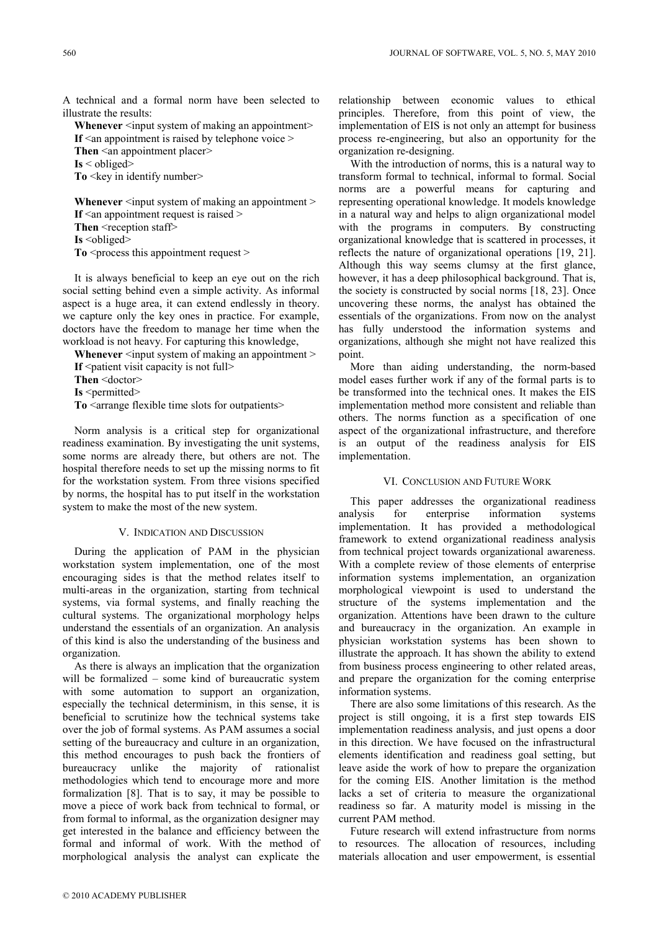A technical and a formal norm have been selected to illustrate the results:

**Whenever** <input system of making an appointment> If  $\leq$  an appointment is raised by telephone voice  $\geq$ **Then** <an appointment placer> **Is** < obliged> **To**  $\leq$  key in identify number $\geq$ 

**Whenever** <input system of making an appointment > **If**  $\leq$  an appointment request is raised  $\geq$ Then <reception staff>

**Is** <obliged>

**To**  $\leq$  process this appointment request  $\geq$ 

It is always beneficial to keep an eye out on the rich social setting behind even a simple activity. As informal aspect is a huge area, it can extend endlessly in theory. we capture only the key ones in practice. For example, doctors have the freedom to manage her time when the workload is not heavy. For capturing this knowledge,

**Whenever** <input system of making an appointment > **If** <patient visit capacity is not full>

**Then** <doctor>

**Is** <permitted>

To <arrange flexible time slots for outpatients>

Norm analysis is a critical step for organizational readiness examination. By investigating the unit systems, some norms are already there, but others are not. The hospital therefore needs to set up the missing norms to fit for the workstation system. From three visions specified by norms, the hospital has to put itself in the workstation system to make the most of the new system.

#### V. INDICATION AND DISCUSSION

During the application of PAM in the physician workstation system implementation, one of the most encouraging sides is that the method relates itself to multi-areas in the organization, starting from technical systems, via formal systems, and finally reaching the cultural systems. The organizational morphology helps understand the essentials of an organization. An analysis of this kind is also the understanding of the business and organization.

As there is always an implication that the organization will be formalized – some kind of bureaucratic system with some automation to support an organization, especially the technical determinism, in this sense, it is beneficial to scrutinize how the technical systems take over the job of formal systems. As PAM assumes a social setting of the bureaucracy and culture in an organization, this method encourages to push back the frontiers of bureaucracy unlike the majority of rationalist methodologies which tend to encourage more and more formalization [8]. That is to say, it may be possible to move a piece of work back from technical to formal, or from formal to informal, as the organization designer may get interested in the balance and efficiency between the formal and informal of work. With the method of morphological analysis the analyst can explicate the

relationship between economic values to ethical principles. Therefore, from this point of view, the implementation of EIS is not only an attempt for business process re-engineering, but also an opportunity for the organization re-designing.

With the introduction of norms, this is a natural way to transform formal to technical, informal to formal. Social norms are a powerful means for capturing and representing operational knowledge. It models knowledge in a natural way and helps to align organizational model with the programs in computers. By constructing organizational knowledge that is scattered in processes, it reflects the nature of organizational operations [19, 21]. Although this way seems clumsy at the first glance, however, it has a deep philosophical background. That is, the society is constructed by social norms [18, 23]. Once uncovering these norms, the analyst has obtained the essentials of the organizations. From now on the analyst has fully understood the information systems and organizations, although she might not have realized this point.

More than aiding understanding, the norm-based model eases further work if any of the formal parts is to be transformed into the technical ones. It makes the EIS implementation method more consistent and reliable than others. The norms function as a specification of one aspect of the organizational infrastructure, and therefore is an output of the readiness analysis for EIS implementation.

## VI. CONCLUSION AND FUTURE WORK

This paper addresses the organizational readiness analysis for enterprise information systems implementation. It has provided a methodological framework to extend organizational readiness analysis from technical project towards organizational awareness. With a complete review of those elements of enterprise information systems implementation, an organization morphological viewpoint is used to understand the structure of the systems implementation and the organization. Attentions have been drawn to the culture and bureaucracy in the organization. An example in physician workstation systems has been shown to illustrate the approach. It has shown the ability to extend from business process engineering to other related areas, and prepare the organization for the coming enterprise information systems.

There are also some limitations of this research. As the project is still ongoing, it is a first step towards EIS implementation readiness analysis, and just opens a door in this direction. We have focused on the infrastructural elements identification and readiness goal setting, but leave aside the work of how to prepare the organization for the coming EIS. Another limitation is the method lacks a set of criteria to measure the organizational readiness so far. A maturity model is missing in the current PAM method.

Future research will extend infrastructure from norms to resources. The allocation of resources, including materials allocation and user empowerment, is essential